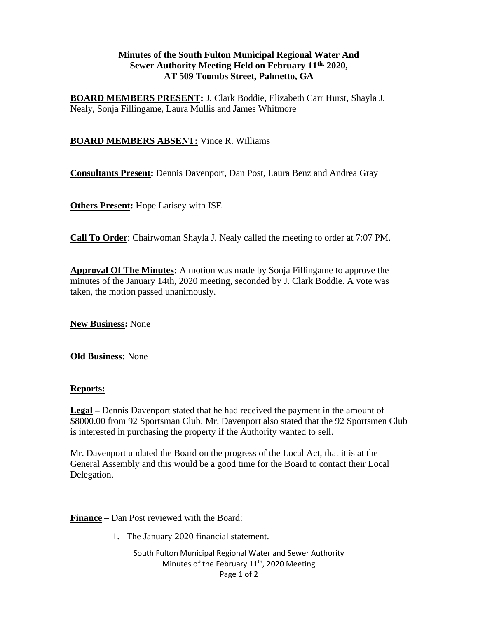## **Minutes of the South Fulton Municipal Regional Water And Sewer Authority Meeting Held on February 11th, 2020, AT 509 Toombs Street, Palmetto, GA**

**BOARD MEMBERS PRESENT:** J. Clark Boddie, Elizabeth Carr Hurst, Shayla J. Nealy, Sonja Fillingame, Laura Mullis and James Whitmore

# **BOARD MEMBERS ABSENT:** Vince R. Williams

**Consultants Present:** Dennis Davenport, Dan Post, Laura Benz and Andrea Gray

**Others Present:** Hope Larisey with ISE

**Call To Order**: Chairwoman Shayla J. Nealy called the meeting to order at 7:07 PM.

**Approval Of The Minutes:** A motion was made by Sonja Fillingame to approve the minutes of the January 14th, 2020 meeting, seconded by J. Clark Boddie. A vote was taken, the motion passed unanimously.

**New Business:** None

**Old Business:** None

## **Reports:**

**Legal –** Dennis Davenport stated that he had received the payment in the amount of \$8000.00 from 92 Sportsman Club. Mr. Davenport also stated that the 92 Sportsmen Club is interested in purchasing the property if the Authority wanted to sell.

Mr. Davenport updated the Board on the progress of the Local Act, that it is at the General Assembly and this would be a good time for the Board to contact their Local Delegation.

**Finance –** Dan Post reviewed with the Board:

1. The January 2020 financial statement.

South Fulton Municipal Regional Water and Sewer Authority Minutes of the February 11<sup>th</sup>, 2020 Meeting Page 1 of 2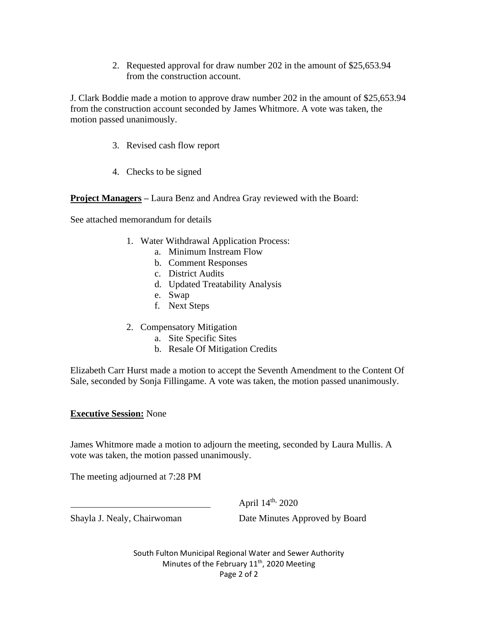2. Requested approval for draw number 202 in the amount of \$25,653.94 from the construction account.

J. Clark Boddie made a motion to approve draw number 202 in the amount of \$25,653.94 from the construction account seconded by James Whitmore. A vote was taken, the motion passed unanimously.

- 3. Revised cash flow report
- 4. Checks to be signed

**Project Managers –** Laura Benz and Andrea Gray reviewed with the Board:

See attached memorandum for details

- 1. Water Withdrawal Application Process:
	- a. Minimum Instream Flow
	- b. Comment Responses
	- c. District Audits
	- d. Updated Treatability Analysis
	- e. Swap
	- f. Next Steps
- 2. Compensatory Mitigation
	- a. Site Specific Sites
	- b. Resale Of Mitigation Credits

Elizabeth Carr Hurst made a motion to accept the Seventh Amendment to the Content Of Sale, seconded by Sonja Fillingame. A vote was taken, the motion passed unanimously.

### **Executive Session:** None

James Whitmore made a motion to adjourn the meeting, seconded by Laura Mullis. A vote was taken, the motion passed unanimously.

The meeting adjourned at 7:28 PM

April 14<sup>th,</sup> 2020

Shayla J. Nealy, Chairwoman Date Minutes Approved by Board

South Fulton Municipal Regional Water and Sewer Authority Minutes of the February 11<sup>th</sup>, 2020 Meeting Page 2 of 2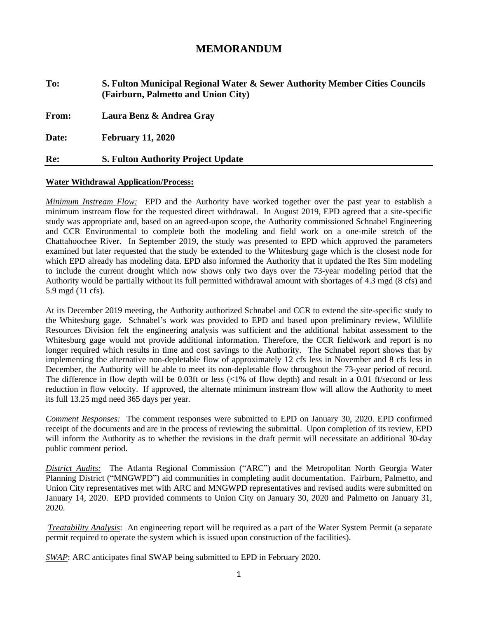# **MEMORANDUM**

**To: S. Fulton Municipal Regional Water & Sewer Authority Member Cities Councils (Fairburn, Palmetto and Union City) From: Laura Benz & Andrea Gray Date: February 11, 2020**

## **Re: S. Fulton Authority Project Update**

### **Water Withdrawal Application/Process:**

*Minimum Instream Flow:* EPD and the Authority have worked together over the past year to establish a minimum instream flow for the requested direct withdrawal. In August 2019, EPD agreed that a site-specific study was appropriate and, based on an agreed-upon scope, the Authority commissioned Schnabel Engineering and CCR Environmental to complete both the modeling and field work on a one-mile stretch of the Chattahoochee River. In September 2019, the study was presented to EPD which approved the parameters examined but later requested that the study be extended to the Whitesburg gage which is the closest node for which EPD already has modeling data. EPD also informed the Authority that it updated the Res Sim modeling to include the current drought which now shows only two days over the 73-year modeling period that the Authority would be partially without its full permitted withdrawal amount with shortages of 4.3 mgd (8 cfs) and 5.9 mgd (11 cfs).

At its December 2019 meeting, the Authority authorized Schnabel and CCR to extend the site-specific study to the Whitesburg gage. Schnabel's work was provided to EPD and based upon preliminary review, Wildlife Resources Division felt the engineering analysis was sufficient and the additional habitat assessment to the Whitesburg gage would not provide additional information. Therefore, the CCR fieldwork and report is no longer required which results in time and cost savings to the Authority. The Schnabel report shows that by implementing the alternative non-depletable flow of approximately 12 cfs less in November and 8 cfs less in December, the Authority will be able to meet its non-depletable flow throughout the 73-year period of record. The difference in flow depth will be 0.03ft or less  $\ll 1\%$  of flow depth) and result in a 0.01 ft/second or less reduction in flow velocity. If approved, the alternate minimum instream flow will allow the Authority to meet its full 13.25 mgd need 365 days per year.

*Comment Responses:* The comment responses were submitted to EPD on January 30, 2020. EPD confirmed receipt of the documents and are in the process of reviewing the submittal. Upon completion of its review, EPD will inform the Authority as to whether the revisions in the draft permit will necessitate an additional 30-day public comment period.

*District Audits:* The Atlanta Regional Commission ("ARC") and the Metropolitan North Georgia Water Planning District ("MNGWPD") aid communities in completing audit documentation. Fairburn, Palmetto, and Union City representatives met with ARC and MNGWPD representatives and revised audits were submitted on January 14, 2020. EPD provided comments to Union City on January 30, 2020 and Palmetto on January 31, 2020.

*Treatability Analysis*: An engineering report will be required as a part of the Water System Permit (a separate permit required to operate the system which is issued upon construction of the facilities).

*SWAP*: ARC anticipates final SWAP being submitted to EPD in February 2020.